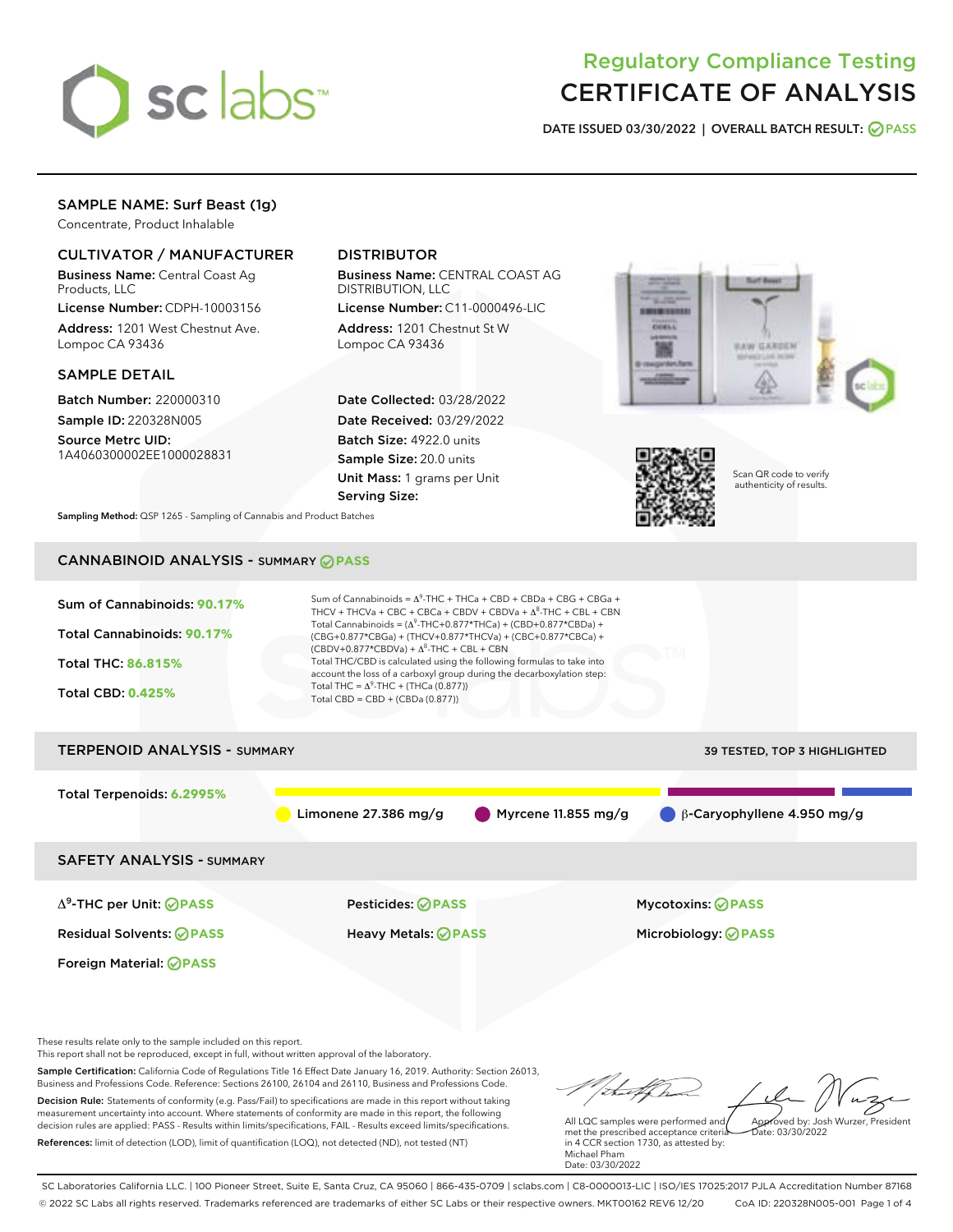

# Regulatory Compliance Testing CERTIFICATE OF ANALYSIS

DATE ISSUED 03/30/2022 | OVERALL BATCH RESULT: @ PASS

# SAMPLE NAME: Surf Beast (1g)

Concentrate, Product Inhalable

# CULTIVATOR / MANUFACTURER

Business Name: Central Coast Ag Products, LLC

License Number: CDPH-10003156 Address: 1201 West Chestnut Ave. Lompoc CA 93436

SAMPLE DETAIL

Batch Number: 220000310 Sample ID: 220328N005

Source Metrc UID: 1A4060300002EE1000028831

# DISTRIBUTOR

Business Name: CENTRAL COAST AG DISTRIBUTION, LLC

License Number: C11-0000496-LIC Address: 1201 Chestnut St W Lompoc CA 93436

Date Collected: 03/28/2022 Date Received: 03/29/2022 Batch Size: 4922.0 units Sample Size: 20.0 units Unit Mass: 1 grams per Unit Serving Size:





Scan QR code to verify authenticity of results.

Sampling Method: QSP 1265 - Sampling of Cannabis and Product Batches

# CANNABINOID ANALYSIS - SUMMARY **PASS**



Sample Certification: California Code of Regulations Title 16 Effect Date January 16, 2019. Authority: Section 26013, Business and Professions Code. Reference: Sections 26100, 26104 and 26110, Business and Professions Code. Decision Rule: Statements of conformity (e.g. Pass/Fail) to specifications are made in this report without taking measurement uncertainty into account. Where statements of conformity are made in this report, the following decision rules are applied: PASS - Results within limits/specifications, FAIL - Results exceed limits/specifications.

References: limit of detection (LOD), limit of quantification (LOQ), not detected (ND), not tested (NT)

All LQC samples were performed and met the prescribed acceptance criteria in 4 CCR section 1730, as attested by: Michael Pham Date: 03/30/2022 Approved by: Josh Wurzer, President  $ate: 03/30/2022$ 

SC Laboratories California LLC. | 100 Pioneer Street, Suite E, Santa Cruz, CA 95060 | 866-435-0709 | sclabs.com | C8-0000013-LIC | ISO/IES 17025:2017 PJLA Accreditation Number 87168 © 2022 SC Labs all rights reserved. Trademarks referenced are trademarks of either SC Labs or their respective owners. MKT00162 REV6 12/20 CoA ID: 220328N005-001 Page 1 of 4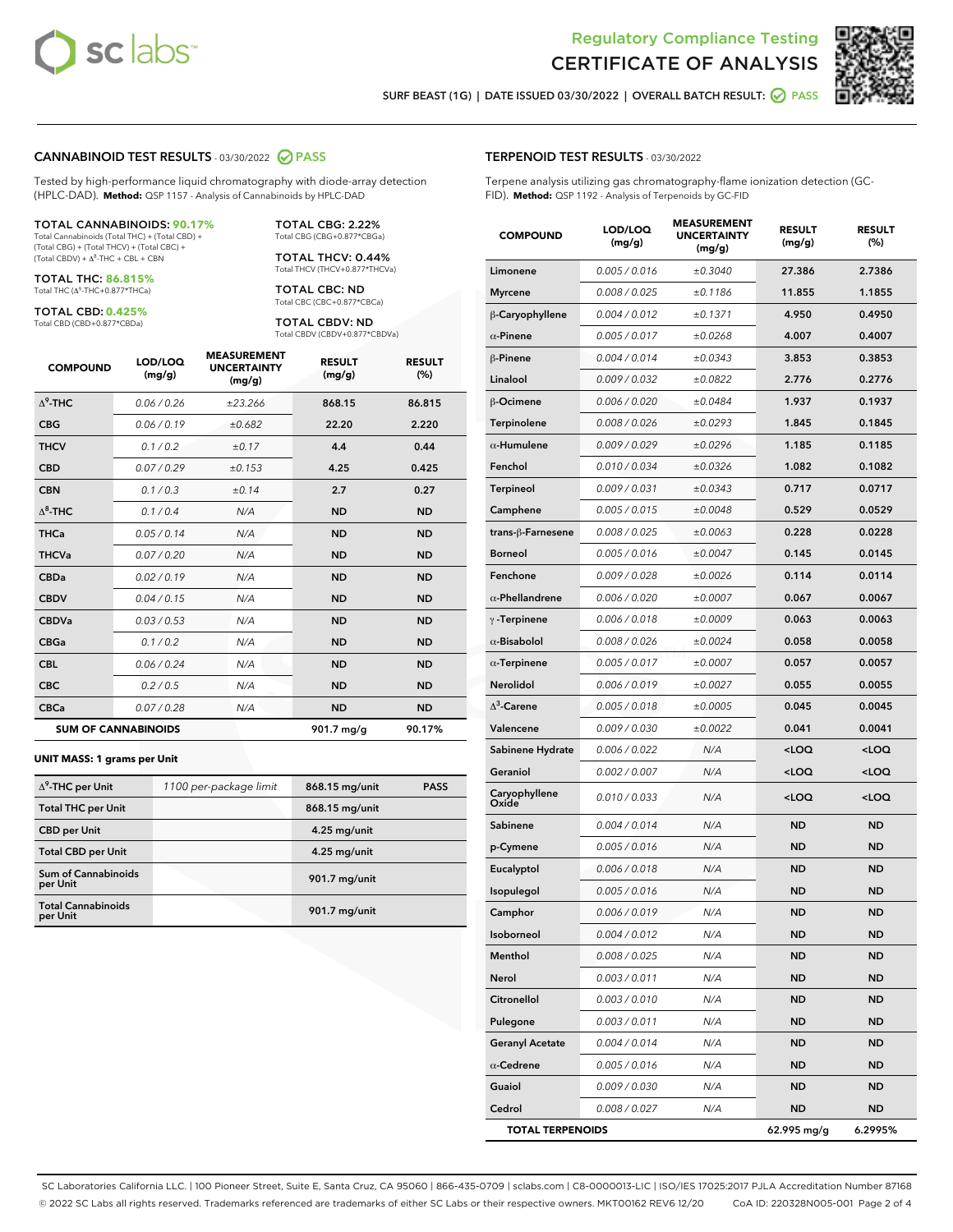



SURF BEAST (1G) | DATE ISSUED 03/30/2022 | OVERALL BATCH RESULT: @ PASS

#### CANNABINOID TEST RESULTS - 03/30/2022 2 PASS

Tested by high-performance liquid chromatography with diode-array detection (HPLC-DAD). **Method:** QSP 1157 - Analysis of Cannabinoids by HPLC-DAD

#### TOTAL CANNABINOIDS: **90.17%**

Total Cannabinoids (Total THC) + (Total CBD) + (Total CBG) + (Total THCV) + (Total CBC) +  $(Total CBDV) +  $\Delta^8$ -THC + CBL + CBN$ 

TOTAL THC: **86.815%** Total THC (Δ<sup>9</sup> -THC+0.877\*THCa)

TOTAL CBD: **0.425%**

Total CBD (CBD+0.877\*CBDa)

TOTAL CBG: 2.22% Total CBG (CBG+0.877\*CBGa)

TOTAL THCV: 0.44% Total THCV (THCV+0.877\*THCVa)

TOTAL CBC: ND Total CBC (CBC+0.877\*CBCa)

TOTAL CBDV: ND Total CBDV (CBDV+0.877\*CBDVa)

| <b>COMPOUND</b>  | LOD/LOQ<br>(mg/g)          | <b>MEASUREMENT</b><br><b>UNCERTAINTY</b><br>(mg/g) | <b>RESULT</b><br>(mg/g) | <b>RESULT</b><br>(%) |
|------------------|----------------------------|----------------------------------------------------|-------------------------|----------------------|
| $\Lambda^9$ -THC | 0.06/0.26                  | ±23.266                                            | 868.15                  | 86.815               |
| <b>CBG</b>       | 0.06/0.19                  | ±0.682                                             | 22.20                   | 2.220                |
| <b>THCV</b>      | 0.1/0.2                    | ±0.17                                              | 4.4                     | 0.44                 |
| <b>CBD</b>       | 0.07/0.29                  | ±0.153                                             | 4.25                    | 0.425                |
| <b>CBN</b>       | 0.1 / 0.3                  | ±0.14                                              | 2.7                     | 0.27                 |
| $\Delta^8$ -THC  | 0.1 / 0.4                  | N/A                                                | <b>ND</b>               | <b>ND</b>            |
| <b>THCa</b>      | 0.05/0.14                  | N/A                                                | <b>ND</b>               | <b>ND</b>            |
| <b>THCVa</b>     | 0.07 / 0.20                | N/A                                                | <b>ND</b>               | <b>ND</b>            |
| <b>CBDa</b>      | 0.02/0.19                  | N/A                                                | <b>ND</b>               | <b>ND</b>            |
| <b>CBDV</b>      | 0.04 / 0.15                | N/A                                                | <b>ND</b>               | <b>ND</b>            |
| <b>CBDVa</b>     | 0.03 / 0.53                | N/A                                                | <b>ND</b>               | <b>ND</b>            |
| <b>CBGa</b>      | 0.1/0.2                    | N/A                                                | <b>ND</b>               | <b>ND</b>            |
| <b>CBL</b>       | 0.06 / 0.24                | N/A                                                | <b>ND</b>               | <b>ND</b>            |
| <b>CBC</b>       | 0.2 / 0.5                  | N/A                                                | <b>ND</b>               | <b>ND</b>            |
| <b>CBCa</b>      | 0.07 / 0.28                | N/A                                                | <b>ND</b>               | <b>ND</b>            |
|                  | <b>SUM OF CANNABINOIDS</b> |                                                    | 901.7 mg/g              | 90.17%               |

#### **UNIT MASS: 1 grams per Unit**

| $\Delta^9$ -THC per Unit               | 1100 per-package limit | 868.15 mg/unit | <b>PASS</b> |
|----------------------------------------|------------------------|----------------|-------------|
| <b>Total THC per Unit</b>              |                        | 868.15 mg/unit |             |
| <b>CBD per Unit</b>                    |                        | $4.25$ mg/unit |             |
| <b>Total CBD per Unit</b>              |                        | 4.25 mg/unit   |             |
| <b>Sum of Cannabinoids</b><br>per Unit |                        | 901.7 mg/unit  |             |
| <b>Total Cannabinoids</b><br>per Unit  |                        | 901.7 mg/unit  |             |

| <b>COMPOUND</b>         | LOD/LOQ<br>(mg/g) | ASUREIVI<br><b>UNCERTAINTY</b><br>(mg/g) | <b>RESULT</b><br>(mg/g)                         | <b>RESULT</b><br>(%) |
|-------------------------|-------------------|------------------------------------------|-------------------------------------------------|----------------------|
| Limonene                | 0.005 / 0.016     | ±0.3040                                  | 27.386                                          | 2.7386               |
| <b>Myrcene</b>          | 0.008 / 0.025     | ±0.1186                                  | 11.855                                          | 1.1855               |
| β-Caryophyllene         | 0.004 / 0.012     | ±0.1371                                  | 4.950                                           | 0.4950               |
| $\alpha$ -Pinene        | 0.005 / 0.017     | ±0.0268                                  | 4.007                                           | 0.4007               |
| $\beta$ -Pinene         | 0.004 / 0.014     | ±0.0343                                  | 3.853                                           | 0.3853               |
| Linalool                | 0.009 / 0.032     | ±0.0822                                  | 2.776                                           | 0.2776               |
| β-Ocimene               | 0.006 / 0.020     | ±0.0484                                  | 1.937                                           | 0.1937               |
| <b>Terpinolene</b>      | 0.008 / 0.026     | ±0.0293                                  | 1.845                                           | 0.1845               |
| $\alpha$ -Humulene      | 0.009 / 0.029     | ±0.0296                                  | 1.185                                           | 0.1185               |
| Fenchol                 | 0.010 / 0.034     | ±0.0326                                  | 1.082                                           | 0.1082               |
| Terpineol               | 0.009 / 0.031     | ±0.0343                                  | 0.717                                           | 0.0717               |
| Camphene                | 0.005 / 0.015     | ±0.0048                                  | 0.529                                           | 0.0529               |
| trans-β-Farnesene       | 0.008 / 0.025     | ±0.0063                                  | 0.228                                           | 0.0228               |
| <b>Borneol</b>          | 0.005 / 0.016     | ±0.0047                                  | 0.145                                           | 0.0145               |
| Fenchone                | 0.009 / 0.028     | ±0.0026                                  | 0.114                                           | 0.0114               |
| $\alpha$ -Phellandrene  | 0.006 / 0.020     | ±0.0007                                  | 0.067                                           | 0.0067               |
| $\gamma$ -Terpinene     | 0.006 / 0.018     | ±0.0009                                  | 0.063                                           | 0.0063               |
| $\alpha$ -Bisabolol     | 0.008 / 0.026     | ±0.0024                                  | 0.058                                           | 0.0058               |
| $\alpha$ -Terpinene     | 0.005 / 0.017     | ±0.0007                                  | 0.057                                           | 0.0057               |
| Nerolidol               | 0.006 / 0.019     | ±0.0027                                  | 0.055                                           | 0.0055               |
| $\Delta^3$ -Carene      | 0.005 / 0.018     | ±0.0005                                  | 0.045                                           | 0.0045               |
| Valencene               | 0.009 / 0.030     | ±0.0022                                  | 0.041                                           | 0.0041               |
| Sabinene Hydrate        | 0.006 / 0.022     | N/A                                      | <loq< th=""><th><loq< th=""></loq<></th></loq<> | <loq< th=""></loq<>  |
| Geraniol                | 0.002 / 0.007     | N/A                                      | <loq< th=""><th><loq< th=""></loq<></th></loq<> | <loq< th=""></loq<>  |
| Caryophyllene<br>Oxide  | 0.010 / 0.033     | N/A                                      | <loq< th=""><th><loq< th=""></loq<></th></loq<> | <loq< th=""></loq<>  |
| Sabinene                | 0.004 / 0.014     | N/A                                      | <b>ND</b>                                       | <b>ND</b>            |
| p-Cymene                | 0.005 / 0.016     | N/A                                      | ND                                              | <b>ND</b>            |
| Eucalyptol              | 0.006 / 0.018     | N/A                                      | ND                                              | ND                   |
| Isopulegol              | 0.005 / 0.016     | N/A                                      | <b>ND</b>                                       | ND                   |
| Camphor                 | 0.006 / 0.019     | N/A                                      | ND                                              | <b>ND</b>            |
| Isoborneol              | 0.004 / 0.012     | N/A                                      | ND                                              | ND                   |
| Menthol                 | 0.008 / 0.025     | N/A                                      | ND                                              | ND                   |
| Nerol                   | 0.003 / 0.011     | N/A                                      | ND                                              | ND                   |
| <b>Citronellol</b>      | 0.003 / 0.010     | N/A                                      | ND                                              | ND                   |
| Pulegone                | 0.003 / 0.011     | N/A                                      | ND                                              | ND                   |
| <b>Geranyl Acetate</b>  | 0.004 / 0.014     | N/A                                      | ND                                              | ND                   |
| $\alpha$ -Cedrene       | 0.005 / 0.016     | N/A                                      | ND                                              | ND                   |
| Guaiol                  | 0.009 / 0.030     | N/A                                      | ND                                              | ND                   |
| Cedrol                  | 0.008 / 0.027     | N/A                                      | ND                                              | ND                   |
| <b>TOTAL TERPENOIDS</b> |                   |                                          | 62.995 mg/g                                     | 6.2995%              |

SC Laboratories California LLC. | 100 Pioneer Street, Suite E, Santa Cruz, CA 95060 | 866-435-0709 | sclabs.com | C8-0000013-LIC | ISO/IES 17025:2017 PJLA Accreditation Number 87168 © 2022 SC Labs all rights reserved. Trademarks referenced are trademarks of either SC Labs or their respective owners. MKT00162 REV6 12/20 CoA ID: 220328N005-001 Page 2 of 4

# TERPENOID TEST RESULTS - 03/30/2022

Terpene analysis utilizing gas chromatography-flame ionization detection (GC-FID). **Method:** QSP 1192 - Analysis of Terpenoids by GC-FID

MEASUREMENT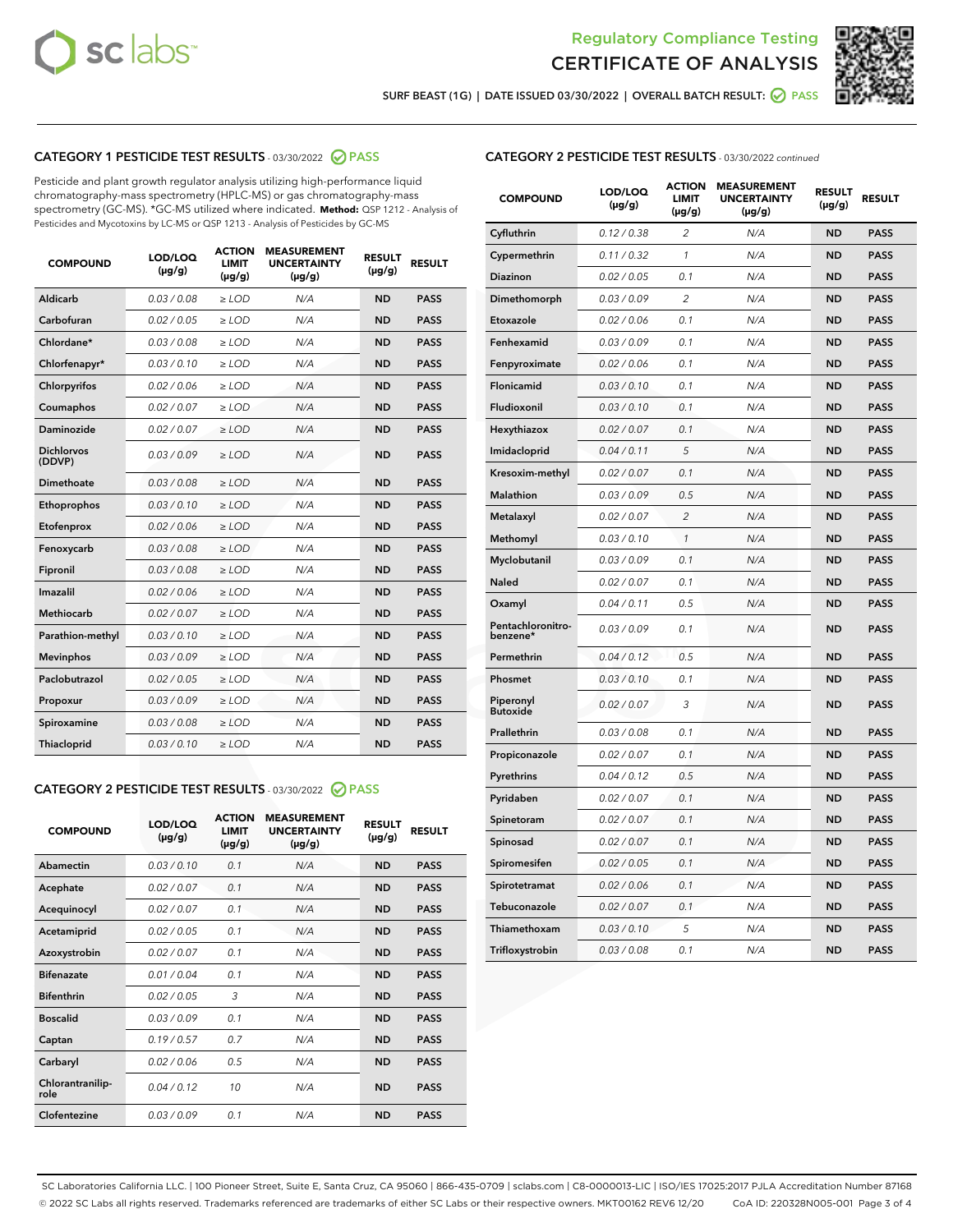



SURF BEAST (1G) | DATE ISSUED 03/30/2022 | OVERALL BATCH RESULT:  $\bigcirc$  PASS

# CATEGORY 1 PESTICIDE TEST RESULTS - 03/30/2022 2 PASS

Pesticide and plant growth regulator analysis utilizing high-performance liquid chromatography-mass spectrometry (HPLC-MS) or gas chromatography-mass spectrometry (GC-MS). \*GC-MS utilized where indicated. **Method:** QSP 1212 - Analysis of Pesticides and Mycotoxins by LC-MS or QSP 1213 - Analysis of Pesticides by GC-MS

| <b>COMPOUND</b>             | LOD/LOQ<br>$(\mu g/g)$ | <b>ACTION</b><br><b>LIMIT</b><br>$(\mu g/g)$ | <b>MEASUREMENT</b><br><b>UNCERTAINTY</b><br>$(\mu g/g)$ | <b>RESULT</b><br>$(\mu g/g)$ | <b>RESULT</b> |
|-----------------------------|------------------------|----------------------------------------------|---------------------------------------------------------|------------------------------|---------------|
| <b>Aldicarb</b>             | 0.03 / 0.08            | $>$ LOD                                      | N/A                                                     | <b>ND</b>                    | <b>PASS</b>   |
| Carbofuran                  | 0.02 / 0.05            | ≥ LOD                                        | N/A                                                     | <b>ND</b>                    | <b>PASS</b>   |
| Chlordane*                  | 0.03/0.08              | $>$ LOD                                      | N/A                                                     | <b>ND</b>                    | <b>PASS</b>   |
| Chlorfenapyr*               | 0.03/0.10              | $>$ LOD                                      | N/A                                                     | <b>ND</b>                    | <b>PASS</b>   |
| Chlorpyrifos                | 0.02/0.06              | $>$ LOD                                      | N/A                                                     | <b>ND</b>                    | <b>PASS</b>   |
| Coumaphos                   | 0.02 / 0.07            | $>$ LOD                                      | N/A                                                     | <b>ND</b>                    | <b>PASS</b>   |
| <b>Daminozide</b>           | 0.02 / 0.07            | $\ge$ LOD                                    | N/A                                                     | <b>ND</b>                    | <b>PASS</b>   |
| <b>Dichlorvos</b><br>(DDVP) | 0.03/0.09              | $>$ LOD                                      | N/A                                                     | <b>ND</b>                    | <b>PASS</b>   |
| Dimethoate                  | 0.03 / 0.08            | $>$ LOD                                      | N/A                                                     | <b>ND</b>                    | <b>PASS</b>   |
| Ethoprophos                 | 0.03/0.10              | $>$ LOD                                      | N/A                                                     | <b>ND</b>                    | <b>PASS</b>   |
| Etofenprox                  | 0.02 / 0.06            | $\geq$ LOD                                   | N/A                                                     | <b>ND</b>                    | <b>PASS</b>   |
| Fenoxycarb                  | 0.03/0.08              | $>$ LOD                                      | N/A                                                     | <b>ND</b>                    | <b>PASS</b>   |
| Fipronil                    | 0.03 / 0.08            | $\geq$ LOD                                   | N/A                                                     | <b>ND</b>                    | <b>PASS</b>   |
| Imazalil                    | 0.02 / 0.06            | $\ge$ LOD                                    | N/A                                                     | <b>ND</b>                    | <b>PASS</b>   |
| <b>Methiocarb</b>           | 0.02 / 0.07            | $\ge$ LOD                                    | N/A                                                     | <b>ND</b>                    | <b>PASS</b>   |
| Parathion-methyl            | 0.03/0.10              | $\ge$ LOD                                    | N/A                                                     | <b>ND</b>                    | <b>PASS</b>   |
| <b>Mevinphos</b>            | 0.03/0.09              | $\ge$ LOD                                    | N/A                                                     | <b>ND</b>                    | <b>PASS</b>   |
| Paclobutrazol               | 0.02 / 0.05            | $\ge$ LOD                                    | N/A                                                     | <b>ND</b>                    | <b>PASS</b>   |
| Propoxur                    | 0.03/0.09              | $\geq$ LOD                                   | N/A                                                     | <b>ND</b>                    | <b>PASS</b>   |
| Spiroxamine                 | 0.03 / 0.08            | $\ge$ LOD                                    | N/A                                                     | <b>ND</b>                    | <b>PASS</b>   |
| Thiacloprid                 | 0.03/0.10              | $>$ LOD                                      | N/A                                                     | <b>ND</b>                    | <b>PASS</b>   |

## CATEGORY 2 PESTICIDE TEST RESULTS - 03/30/2022 @ PASS

| <b>COMPOUND</b>          | LOD/LOO<br>$(\mu g/g)$ | <b>ACTION</b><br>LIMIT<br>$(\mu g/g)$ | <b>MEASUREMENT</b><br><b>UNCERTAINTY</b><br>$(\mu g/g)$ | <b>RESULT</b><br>$(\mu g/g)$ | <b>RESULT</b> |
|--------------------------|------------------------|---------------------------------------|---------------------------------------------------------|------------------------------|---------------|
| Abamectin                | 0.03/0.10              | 0.1                                   | N/A                                                     | <b>ND</b>                    | <b>PASS</b>   |
| Acephate                 | 0.02/0.07              | 0.1                                   | N/A                                                     | <b>ND</b>                    | <b>PASS</b>   |
| Acequinocyl              | 0.02/0.07              | 0.1                                   | N/A                                                     | <b>ND</b>                    | <b>PASS</b>   |
| Acetamiprid              | 0.02/0.05              | 0.1                                   | N/A                                                     | <b>ND</b>                    | <b>PASS</b>   |
| Azoxystrobin             | 0.02/0.07              | 0.1                                   | N/A                                                     | <b>ND</b>                    | <b>PASS</b>   |
| <b>Bifenazate</b>        | 0.01/0.04              | 0.1                                   | N/A                                                     | <b>ND</b>                    | <b>PASS</b>   |
| <b>Bifenthrin</b>        | 0.02 / 0.05            | 3                                     | N/A                                                     | <b>ND</b>                    | <b>PASS</b>   |
| <b>Boscalid</b>          | 0.03/0.09              | 0.1                                   | N/A                                                     | <b>ND</b>                    | <b>PASS</b>   |
| Captan                   | 0.19/0.57              | 0.7                                   | N/A                                                     | <b>ND</b>                    | <b>PASS</b>   |
| Carbaryl                 | 0.02/0.06              | 0.5                                   | N/A                                                     | <b>ND</b>                    | <b>PASS</b>   |
| Chlorantranilip-<br>role | 0.04/0.12              | 10                                    | N/A                                                     | <b>ND</b>                    | <b>PASS</b>   |
| Clofentezine             | 0.03/0.09              | 0.1                                   | N/A                                                     | <b>ND</b>                    | <b>PASS</b>   |

# CATEGORY 2 PESTICIDE TEST RESULTS - 03/30/2022 continued

| <b>COMPOUND</b>               | LOD/LOQ<br>(µg/g) | <b>ACTION</b><br><b>LIMIT</b><br>(µg/g) | <b>MEASUREMENT</b><br><b>UNCERTAINTY</b><br>(µg/g) | <b>RESULT</b><br>(µg/g) | <b>RESULT</b> |
|-------------------------------|-------------------|-----------------------------------------|----------------------------------------------------|-------------------------|---------------|
| Cyfluthrin                    | 0.12 / 0.38       | $\overline{c}$                          | N/A                                                | <b>ND</b>               | <b>PASS</b>   |
| Cypermethrin                  | 0.11 / 0.32       | $\mathcal{I}$                           | N/A                                                | <b>ND</b>               | <b>PASS</b>   |
| <b>Diazinon</b>               | 0.02 / 0.05       | 0.1                                     | N/A                                                | <b>ND</b>               | <b>PASS</b>   |
| Dimethomorph                  | 0.03 / 0.09       | 2                                       | N/A                                                | <b>ND</b>               | <b>PASS</b>   |
| Etoxazole                     | 0.02 / 0.06       | 0.1                                     | N/A                                                | ND                      | <b>PASS</b>   |
| Fenhexamid                    | 0.03 / 0.09       | 0.1                                     | N/A                                                | <b>ND</b>               | <b>PASS</b>   |
| Fenpyroximate                 | 0.02 / 0.06       | 0.1                                     | N/A                                                | <b>ND</b>               | <b>PASS</b>   |
| Flonicamid                    | 0.03/0.10         | 0.1                                     | N/A                                                | <b>ND</b>               | <b>PASS</b>   |
| Fludioxonil                   | 0.03 / 0.10       | 0.1                                     | N/A                                                | <b>ND</b>               | <b>PASS</b>   |
| Hexythiazox                   | 0.02 / 0.07       | 0.1                                     | N/A                                                | <b>ND</b>               | <b>PASS</b>   |
| Imidacloprid                  | 0.04 / 0.11       | 5                                       | N/A                                                | <b>ND</b>               | <b>PASS</b>   |
| Kresoxim-methyl               | 0.02 / 0.07       | 0.1                                     | N/A                                                | <b>ND</b>               | <b>PASS</b>   |
| Malathion                     | 0.03 / 0.09       | 0.5                                     | N/A                                                | <b>ND</b>               | <b>PASS</b>   |
| Metalaxyl                     | 0.02 / 0.07       | $\overline{c}$                          | N/A                                                | <b>ND</b>               | <b>PASS</b>   |
| Methomyl                      | 0.03 / 0.10       | $\mathcal{I}$                           | N/A                                                | ND                      | <b>PASS</b>   |
| Myclobutanil                  | 0.03 / 0.09       | 0.1                                     | N/A                                                | <b>ND</b>               | <b>PASS</b>   |
| Naled                         | 0.02 / 0.07       | 0.1                                     | N/A                                                | <b>ND</b>               | <b>PASS</b>   |
| Oxamyl                        | 0.04 / 0.11       | 0.5                                     | N/A                                                | <b>ND</b>               | <b>PASS</b>   |
| Pentachloronitro-<br>benzene* | 0.03 / 0.09       | 0.1                                     | N/A                                                | <b>ND</b>               | <b>PASS</b>   |
| Permethrin                    | 0.04 / 0.12       | 0.5                                     | N/A                                                | <b>ND</b>               | <b>PASS</b>   |
| Phosmet                       | 0.03 / 0.10       | 0.1                                     | N/A                                                | ND                      | <b>PASS</b>   |
| Piperonyl<br><b>Butoxide</b>  | 0.02 / 0.07       | 3                                       | N/A                                                | <b>ND</b>               | <b>PASS</b>   |
| Prallethrin                   | 0.03 / 0.08       | 0.1                                     | N/A                                                | <b>ND</b>               | <b>PASS</b>   |
| Propiconazole                 | 0.02 / 0.07       | 0.1                                     | N/A                                                | <b>ND</b>               | <b>PASS</b>   |
| Pyrethrins                    | 0.04 / 0.12       | 0.5                                     | N/A                                                | <b>ND</b>               | <b>PASS</b>   |
| Pyridaben                     | 0.02 / 0.07       | 0.1                                     | N/A                                                | <b>ND</b>               | <b>PASS</b>   |
| Spinetoram                    | 0.02 / 0.07       | 0.1                                     | N/A                                                | <b>ND</b>               | <b>PASS</b>   |
| Spinosad                      | 0.02 / 0.07       | 0.1                                     | N/A                                                | <b>ND</b>               | <b>PASS</b>   |
| Spiromesifen                  | 0.02 / 0.05       | 0.1                                     | N/A                                                | <b>ND</b>               | <b>PASS</b>   |
| Spirotetramat                 | 0.02 / 0.06       | 0.1                                     | N/A                                                | <b>ND</b>               | <b>PASS</b>   |
| Tebuconazole                  | 0.02 / 0.07       | 0.1                                     | N/A                                                | <b>ND</b>               | <b>PASS</b>   |
| Thiamethoxam                  | 0.03 / 0.10       | 5                                       | N/A                                                | <b>ND</b>               | <b>PASS</b>   |
| Trifloxystrobin               | 0.03 / 0.08       | 0.1                                     | N/A                                                | <b>ND</b>               | <b>PASS</b>   |

SC Laboratories California LLC. | 100 Pioneer Street, Suite E, Santa Cruz, CA 95060 | 866-435-0709 | sclabs.com | C8-0000013-LIC | ISO/IES 17025:2017 PJLA Accreditation Number 87168 © 2022 SC Labs all rights reserved. Trademarks referenced are trademarks of either SC Labs or their respective owners. MKT00162 REV6 12/20 CoA ID: 220328N005-001 Page 3 of 4